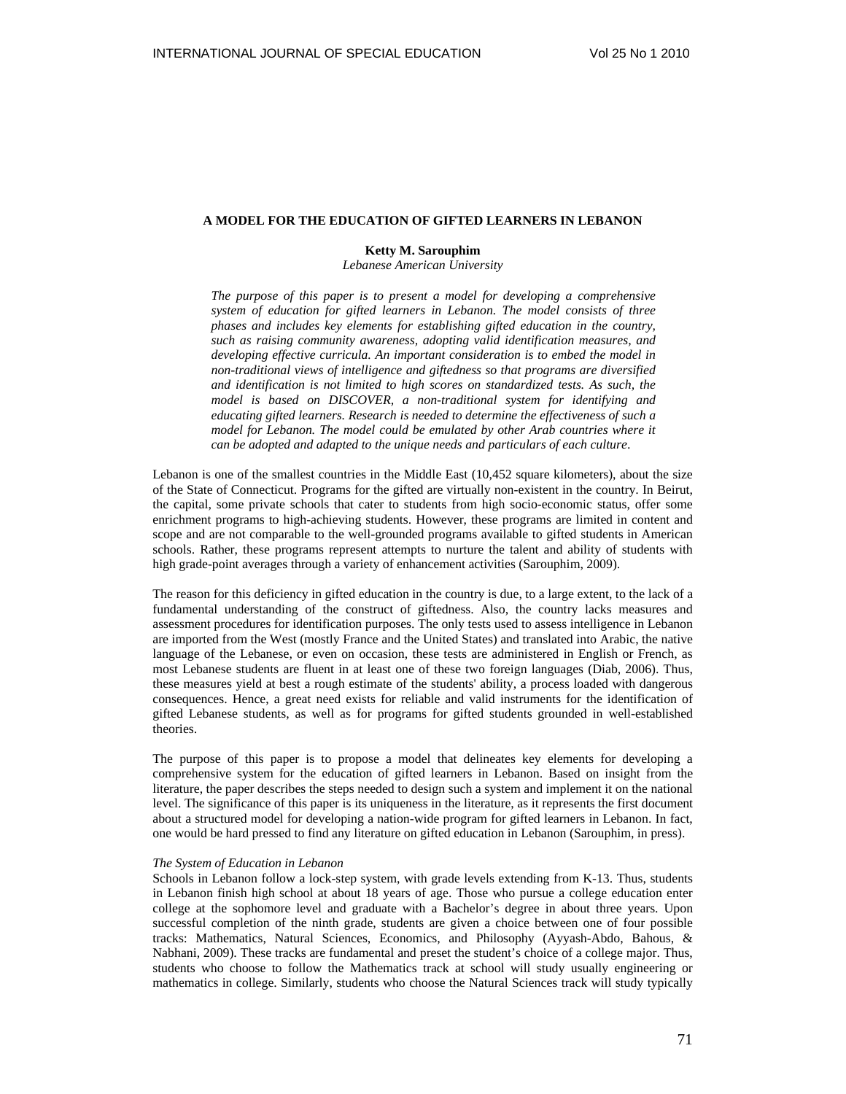# **A MODEL FOR THE EDUCATION OF GIFTED LEARNERS IN LEBANON**

### **Ketty M. Sarouphim**

*Lebanese American University* 

*The purpose of this paper is to present a model for developing a comprehensive system of education for gifted learners in Lebanon. The model consists of three phases and includes key elements for establishing gifted education in the country, such as raising community awareness, adopting valid identification measures, and developing effective curricula. An important consideration is to embed the model in non-traditional views of intelligence and giftedness so that programs are diversified and identification is not limited to high scores on standardized tests. As such, the model is based on DISCOVER, a non-traditional system for identifying and educating gifted learners. Research is needed to determine the effectiveness of such a model for Lebanon. The model could be emulated by other Arab countries where it can be adopted and adapted to the unique needs and particulars of each culture*.

Lebanon is one of the smallest countries in the Middle East (10,452 square kilometers), about the size of the State of Connecticut. Programs for the gifted are virtually non-existent in the country. In Beirut, the capital, some private schools that cater to students from high socio-economic status, offer some enrichment programs to high-achieving students. However, these programs are limited in content and scope and are not comparable to the well-grounded programs available to gifted students in American schools. Rather, these programs represent attempts to nurture the talent and ability of students with high grade-point averages through a variety of enhancement activities (Sarouphim, 2009).

The reason for this deficiency in gifted education in the country is due, to a large extent, to the lack of a fundamental understanding of the construct of giftedness. Also, the country lacks measures and assessment procedures for identification purposes. The only tests used to assess intelligence in Lebanon are imported from the West (mostly France and the United States) and translated into Arabic, the native language of the Lebanese, or even on occasion, these tests are administered in English or French, as most Lebanese students are fluent in at least one of these two foreign languages (Diab, 2006). Thus, these measures yield at best a rough estimate of the students' ability, a process loaded with dangerous consequences. Hence, a great need exists for reliable and valid instruments for the identification of gifted Lebanese students, as well as for programs for gifted students grounded in well-established theories.

The purpose of this paper is to propose a model that delineates key elements for developing a comprehensive system for the education of gifted learners in Lebanon. Based on insight from the literature, the paper describes the steps needed to design such a system and implement it on the national level. The significance of this paper is its uniqueness in the literature, as it represents the first document about a structured model for developing a nation-wide program for gifted learners in Lebanon. In fact, one would be hard pressed to find any literature on gifted education in Lebanon (Sarouphim, in press).

### *The System of Education in Lebanon*

Schools in Lebanon follow a lock-step system, with grade levels extending from K-13. Thus, students in Lebanon finish high school at about 18 years of age. Those who pursue a college education enter college at the sophomore level and graduate with a Bachelor's degree in about three years. Upon successful completion of the ninth grade, students are given a choice between one of four possible tracks: Mathematics, Natural Sciences, Economics, and Philosophy (Ayyash-Abdo, Bahous, & Nabhani, 2009). These tracks are fundamental and preset the student's choice of a college major. Thus, students who choose to follow the Mathematics track at school will study usually engineering or mathematics in college. Similarly, students who choose the Natural Sciences track will study typically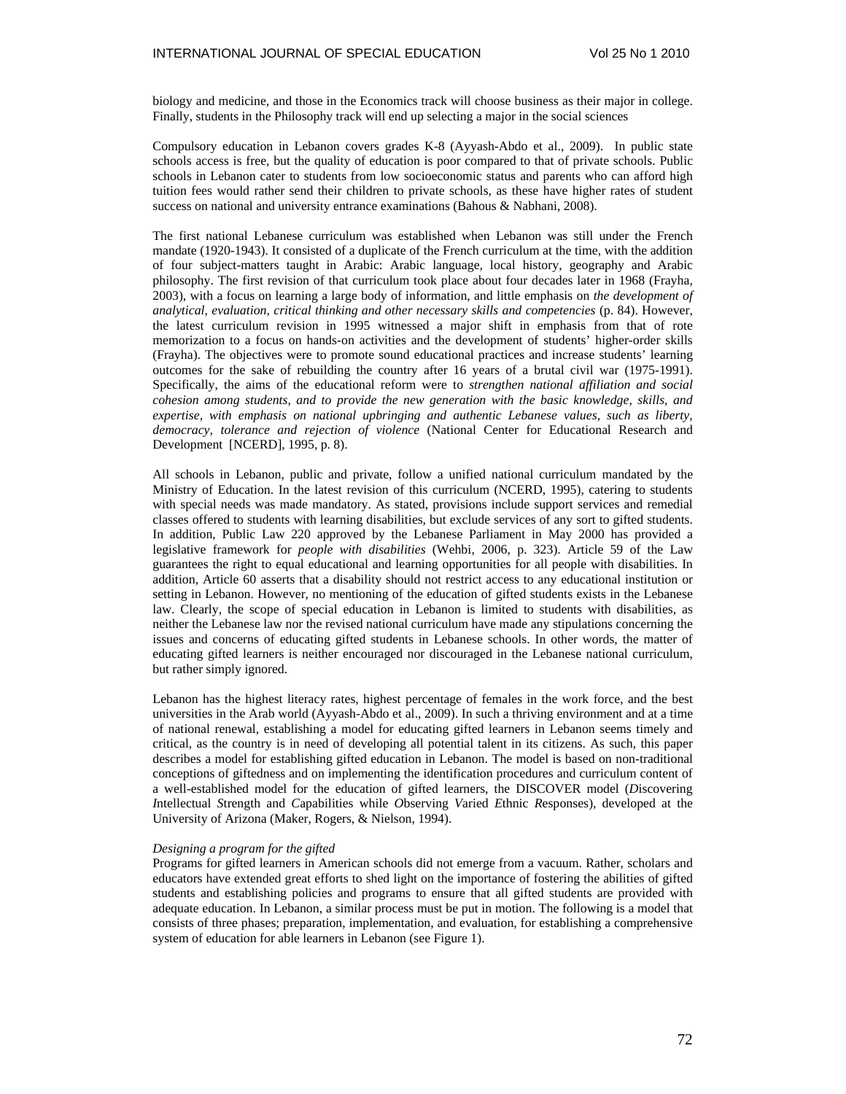biology and medicine, and those in the Economics track will choose business as their major in college. Finally, students in the Philosophy track will end up selecting a major in the social sciences

Compulsory education in Lebanon covers grades K-8 (Ayyash-Abdo et al., 2009). In public state schools access is free, but the quality of education is poor compared to that of private schools. Public schools in Lebanon cater to students from low socioeconomic status and parents who can afford high tuition fees would rather send their children to private schools, as these have higher rates of student success on national and university entrance examinations (Bahous & Nabhani, 2008).

The first national Lebanese curriculum was established when Lebanon was still under the French mandate (1920-1943). It consisted of a duplicate of the French curriculum at the time, with the addition of four subject-matters taught in Arabic: Arabic language, local history, geography and Arabic philosophy. The first revision of that curriculum took place about four decades later in 1968 (Frayha, 2003), with a focus on learning a large body of information, and little emphasis on *the development of analytical, evaluation, critical thinking and other necessary skills and competencies* (p. 84). However, the latest curriculum revision in 1995 witnessed a major shift in emphasis from that of rote memorization to a focus on hands-on activities and the development of students' higher-order skills (Frayha). The objectives were to promote sound educational practices and increase students' learning outcomes for the sake of rebuilding the country after 16 years of a brutal civil war (1975-1991). Specifically, the aims of the educational reform were to *strengthen national affiliation and social cohesion among students, and to provide the new generation with the basic knowledge, skills, and expertise, with emphasis on national upbringing and authentic Lebanese values, such as liberty, democracy, tolerance and rejection of violence* (National Center for Educational Research and Development [NCERD], 1995, p. 8).

All schools in Lebanon, public and private, follow a unified national curriculum mandated by the Ministry of Education. In the latest revision of this curriculum (NCERD, 1995), catering to students with special needs was made mandatory. As stated, provisions include support services and remedial classes offered to students with learning disabilities, but exclude services of any sort to gifted students. In addition, Public Law 220 approved by the Lebanese Parliament in May 2000 has provided a legislative framework for *people with disabilities* (Wehbi, 2006, p. 323). Article 59 of the Law guarantees the right to equal educational and learning opportunities for all people with disabilities. In addition, Article 60 asserts that a disability should not restrict access to any educational institution or setting in Lebanon. However, no mentioning of the education of gifted students exists in the Lebanese law. Clearly, the scope of special education in Lebanon is limited to students with disabilities, as neither the Lebanese law nor the revised national curriculum have made any stipulations concerning the issues and concerns of educating gifted students in Lebanese schools. In other words, the matter of educating gifted learners is neither encouraged nor discouraged in the Lebanese national curriculum, but rather simply ignored.

Lebanon has the highest literacy rates, highest percentage of females in the work force, and the best universities in the Arab world (Ayyash-Abdo et al., 2009). In such a thriving environment and at a time of national renewal, establishing a model for educating gifted learners in Lebanon seems timely and critical, as the country is in need of developing all potential talent in its citizens. As such, this paper describes a model for establishing gifted education in Lebanon. The model is based on non-traditional conceptions of giftedness and on implementing the identification procedures and curriculum content of a well-established model for the education of gifted learners, the DISCOVER model (*D*iscovering *I*ntellectual *S*trength and *C*apabilities while *O*bserving *V*aried *E*thnic *R*esponses), developed at the University of Arizona (Maker, Rogers, & Nielson, 1994).

### *Designing a program for the gifted*

Programs for gifted learners in American schools did not emerge from a vacuum. Rather, scholars and educators have extended great efforts to shed light on the importance of fostering the abilities of gifted students and establishing policies and programs to ensure that all gifted students are provided with adequate education. In Lebanon, a similar process must be put in motion. The following is a model that consists of three phases; preparation, implementation, and evaluation, for establishing a comprehensive system of education for able learners in Lebanon (see Figure 1).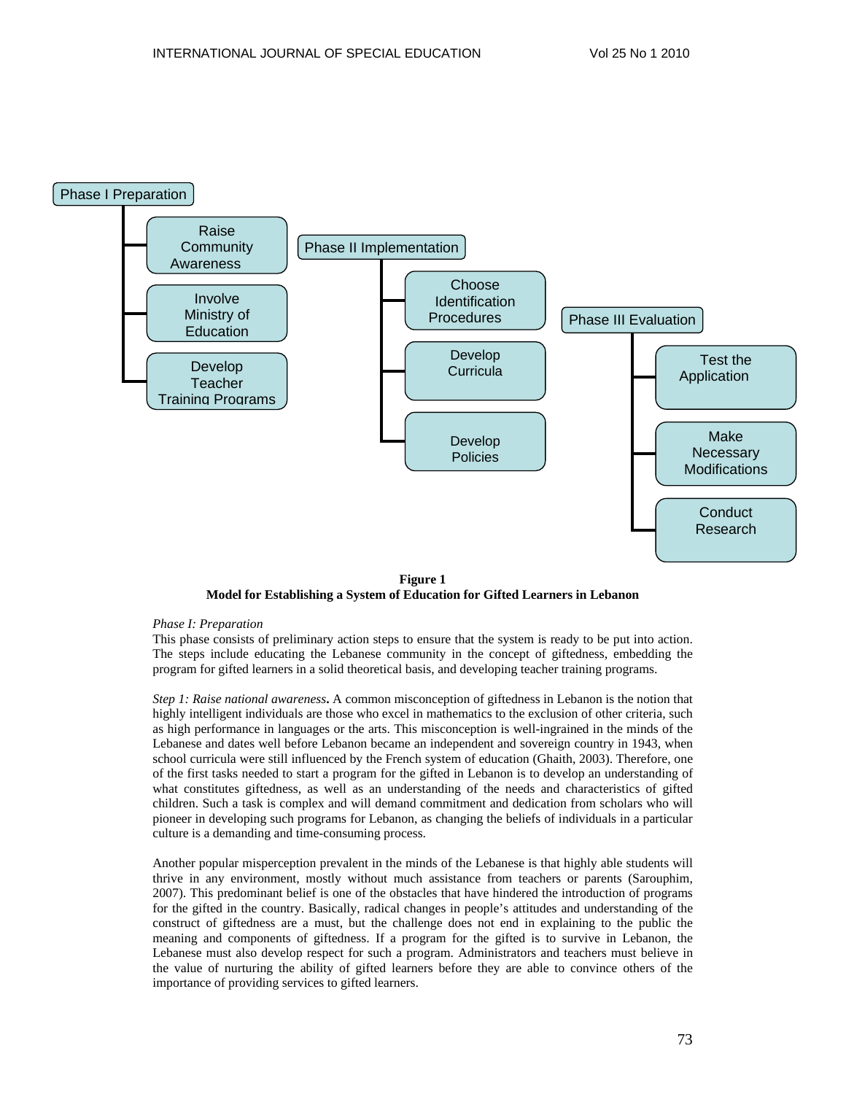

**Figure 1 Model for Establishing a System of Education for Gifted Learners in Lebanon** 

## *Phase I: Preparation*

This phase consists of preliminary action steps to ensure that the system is ready to be put into action. The steps include educating the Lebanese community in the concept of giftedness, embedding the program for gifted learners in a solid theoretical basis, and developing teacher training programs.

*Step 1: Raise national awareness***.** A common misconception of giftedness in Lebanon is the notion that highly intelligent individuals are those who excel in mathematics to the exclusion of other criteria, such as high performance in languages or the arts. This misconception is well-ingrained in the minds of the Lebanese and dates well before Lebanon became an independent and sovereign country in 1943, when school curricula were still influenced by the French system of education (Ghaith, 2003). Therefore, one of the first tasks needed to start a program for the gifted in Lebanon is to develop an understanding of what constitutes giftedness, as well as an understanding of the needs and characteristics of gifted children. Such a task is complex and will demand commitment and dedication from scholars who will pioneer in developing such programs for Lebanon, as changing the beliefs of individuals in a particular culture is a demanding and time-consuming process.

Another popular misperception prevalent in the minds of the Lebanese is that highly able students will thrive in any environment, mostly without much assistance from teachers or parents (Sarouphim, 2007). This predominant belief is one of the obstacles that have hindered the introduction of programs for the gifted in the country. Basically, radical changes in people's attitudes and understanding of the construct of giftedness are a must, but the challenge does not end in explaining to the public the meaning and components of giftedness. If a program for the gifted is to survive in Lebanon, the Lebanese must also develop respect for such a program. Administrators and teachers must believe in the value of nurturing the ability of gifted learners before they are able to convince others of the importance of providing services to gifted learners.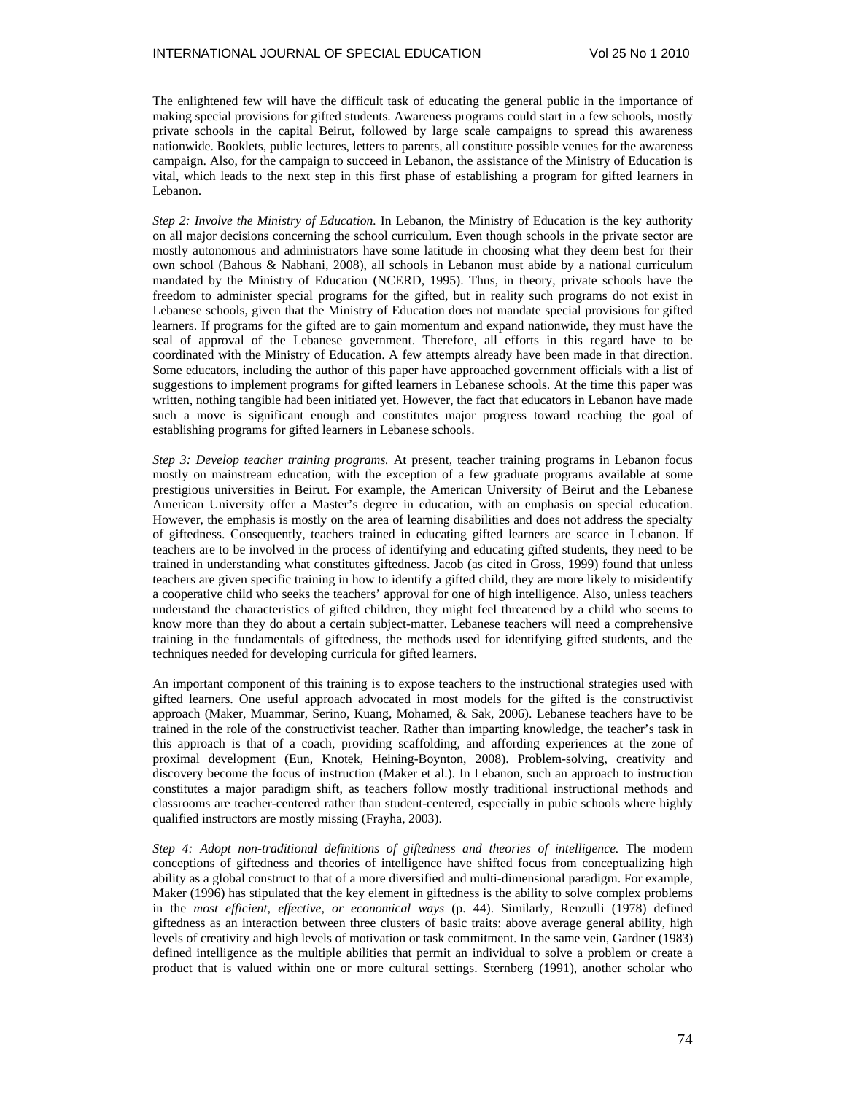The enlightened few will have the difficult task of educating the general public in the importance of making special provisions for gifted students. Awareness programs could start in a few schools, mostly private schools in the capital Beirut, followed by large scale campaigns to spread this awareness nationwide. Booklets, public lectures, letters to parents, all constitute possible venues for the awareness campaign. Also, for the campaign to succeed in Lebanon, the assistance of the Ministry of Education is vital, which leads to the next step in this first phase of establishing a program for gifted learners in Lebanon.

*Step 2: Involve the Ministry of Education.* In Lebanon, the Ministry of Education is the key authority on all major decisions concerning the school curriculum. Even though schools in the private sector are mostly autonomous and administrators have some latitude in choosing what they deem best for their own school (Bahous & Nabhani, 2008), all schools in Lebanon must abide by a national curriculum mandated by the Ministry of Education (NCERD, 1995). Thus, in theory, private schools have the freedom to administer special programs for the gifted, but in reality such programs do not exist in Lebanese schools, given that the Ministry of Education does not mandate special provisions for gifted learners. If programs for the gifted are to gain momentum and expand nationwide, they must have the seal of approval of the Lebanese government. Therefore, all efforts in this regard have to be coordinated with the Ministry of Education. A few attempts already have been made in that direction. Some educators, including the author of this paper have approached government officials with a list of suggestions to implement programs for gifted learners in Lebanese schools. At the time this paper was written, nothing tangible had been initiated yet. However, the fact that educators in Lebanon have made such a move is significant enough and constitutes major progress toward reaching the goal of establishing programs for gifted learners in Lebanese schools.

*Step 3: Develop teacher training programs.* At present, teacher training programs in Lebanon focus mostly on mainstream education, with the exception of a few graduate programs available at some prestigious universities in Beirut. For example, the American University of Beirut and the Lebanese American University offer a Master's degree in education, with an emphasis on special education. However, the emphasis is mostly on the area of learning disabilities and does not address the specialty of giftedness. Consequently, teachers trained in educating gifted learners are scarce in Lebanon. If teachers are to be involved in the process of identifying and educating gifted students, they need to be trained in understanding what constitutes giftedness. Jacob (as cited in Gross, 1999) found that unless teachers are given specific training in how to identify a gifted child, they are more likely to misidentify a cooperative child who seeks the teachers' approval for one of high intelligence. Also, unless teachers understand the characteristics of gifted children, they might feel threatened by a child who seems to know more than they do about a certain subject-matter. Lebanese teachers will need a comprehensive training in the fundamentals of giftedness, the methods used for identifying gifted students, and the techniques needed for developing curricula for gifted learners.

An important component of this training is to expose teachers to the instructional strategies used with gifted learners. One useful approach advocated in most models for the gifted is the constructivist approach (Maker, Muammar, Serino, Kuang, Mohamed, & Sak, 2006). Lebanese teachers have to be trained in the role of the constructivist teacher. Rather than imparting knowledge, the teacher's task in this approach is that of a coach, providing scaffolding, and affording experiences at the zone of proximal development (Eun, Knotek, Heining-Boynton, 2008). Problem-solving, creativity and discovery become the focus of instruction (Maker et al.). In Lebanon, such an approach to instruction constitutes a major paradigm shift, as teachers follow mostly traditional instructional methods and classrooms are teacher-centered rather than student-centered, especially in pubic schools where highly qualified instructors are mostly missing (Frayha, 2003).

*Step 4: Adopt non-traditional definitions of giftedness and theories of intelligence.* The modern conceptions of giftedness and theories of intelligence have shifted focus from conceptualizing high ability as a global construct to that of a more diversified and multi-dimensional paradigm. For example, Maker (1996) has stipulated that the key element in giftedness is the ability to solve complex problems in the *most efficient, effective, or economical ways* (p. 44). Similarly, Renzulli (1978) defined giftedness as an interaction between three clusters of basic traits: above average general ability, high levels of creativity and high levels of motivation or task commitment. In the same vein, Gardner (1983) defined intelligence as the multiple abilities that permit an individual to solve a problem or create a product that is valued within one or more cultural settings. Sternberg (1991), another scholar who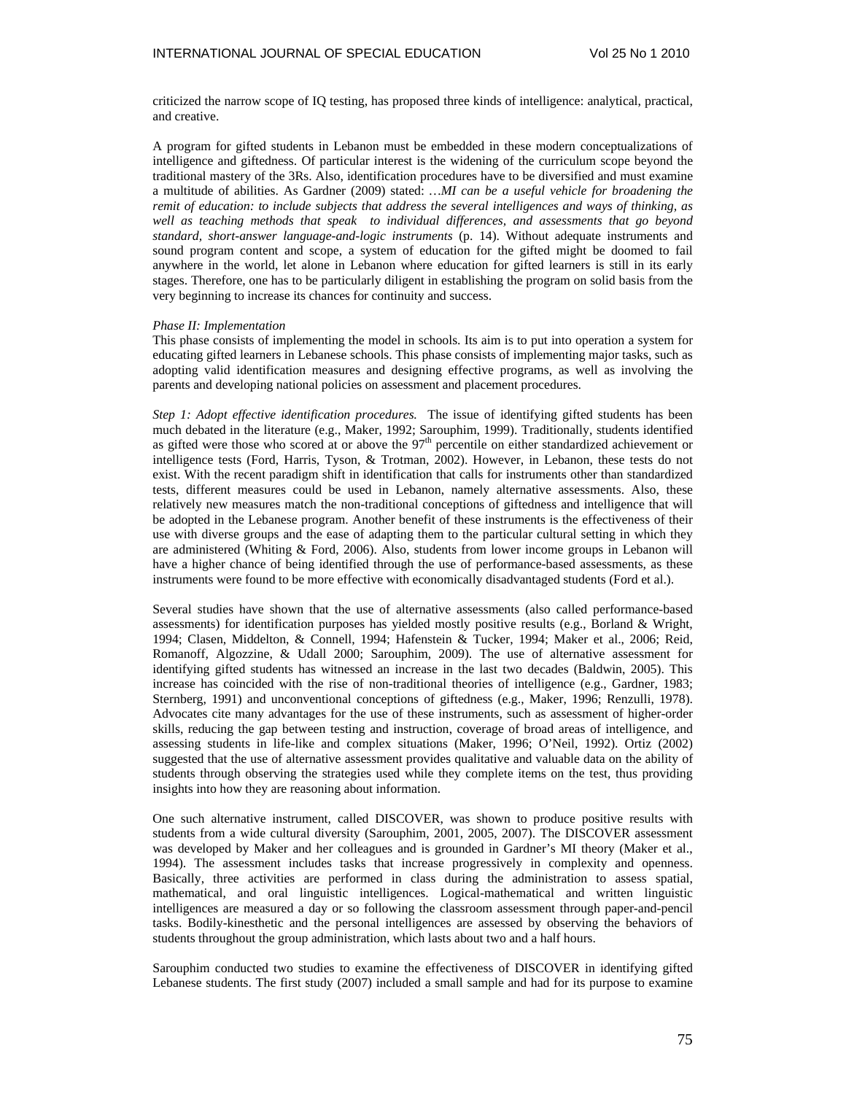criticized the narrow scope of IQ testing, has proposed three kinds of intelligence: analytical, practical, and creative.

A program for gifted students in Lebanon must be embedded in these modern conceptualizations of intelligence and giftedness. Of particular interest is the widening of the curriculum scope beyond the traditional mastery of the 3Rs. Also, identification procedures have to be diversified and must examine a multitude of abilities. As Gardner (2009) stated: *…MI can be a useful vehicle for broadening the remit of education: to include subjects that address the several intelligences and ways of thinking, as well as teaching methods that speak to individual differences, and assessments that go beyond standard, short-answer language-and-logic instruments* (p. 14). Without adequate instruments and sound program content and scope, a system of education for the gifted might be doomed to fail anywhere in the world, let alone in Lebanon where education for gifted learners is still in its early stages. Therefore, one has to be particularly diligent in establishing the program on solid basis from the very beginning to increase its chances for continuity and success.

### *Phase II: Implementation*

This phase consists of implementing the model in schools. Its aim is to put into operation a system for educating gifted learners in Lebanese schools. This phase consists of implementing major tasks, such as adopting valid identification measures and designing effective programs, as well as involving the parents and developing national policies on assessment and placement procedures.

*Step 1: Adopt effective identification procedures.* The issue of identifying gifted students has been much debated in the literature (e.g., Maker, 1992; Sarouphim, 1999). Traditionally, students identified as gifted were those who scored at or above the 97<sup>th</sup> percentile on either standardized achievement or intelligence tests (Ford, Harris, Tyson, & Trotman, 2002). However, in Lebanon, these tests do not exist. With the recent paradigm shift in identification that calls for instruments other than standardized tests, different measures could be used in Lebanon, namely alternative assessments. Also, these relatively new measures match the non-traditional conceptions of giftedness and intelligence that will be adopted in the Lebanese program. Another benefit of these instruments is the effectiveness of their use with diverse groups and the ease of adapting them to the particular cultural setting in which they are administered (Whiting & Ford, 2006). Also, students from lower income groups in Lebanon will have a higher chance of being identified through the use of performance-based assessments, as these instruments were found to be more effective with economically disadvantaged students (Ford et al.).

Several studies have shown that the use of alternative assessments (also called performance-based assessments) for identification purposes has yielded mostly positive results (e.g., Borland & Wright, 1994; Clasen, Middelton, & Connell, 1994; Hafenstein & Tucker, 1994; Maker et al., 2006; Reid, Romanoff, Algozzine, & Udall 2000; Sarouphim, 2009). The use of alternative assessment for identifying gifted students has witnessed an increase in the last two decades (Baldwin, 2005). This increase has coincided with the rise of non-traditional theories of intelligence (e.g., Gardner, 1983; Sternberg, 1991) and unconventional conceptions of giftedness (e.g., Maker, 1996; Renzulli, 1978). Advocates cite many advantages for the use of these instruments, such as assessment of higher-order skills, reducing the gap between testing and instruction, coverage of broad areas of intelligence, and assessing students in life-like and complex situations (Maker, 1996; O'Neil, 1992). Ortiz (2002) suggested that the use of alternative assessment provides qualitative and valuable data on the ability of students through observing the strategies used while they complete items on the test, thus providing insights into how they are reasoning about information.

One such alternative instrument, called DISCOVER, was shown to produce positive results with students from a wide cultural diversity (Sarouphim, 2001, 2005, 2007). The DISCOVER assessment was developed by Maker and her colleagues and is grounded in Gardner's MI theory (Maker et al., 1994). The assessment includes tasks that increase progressively in complexity and openness. Basically, three activities are performed in class during the administration to assess spatial, mathematical, and oral linguistic intelligences. Logical-mathematical and written linguistic intelligences are measured a day or so following the classroom assessment through paper-and-pencil tasks. Bodily-kinesthetic and the personal intelligences are assessed by observing the behaviors of students throughout the group administration, which lasts about two and a half hours.

Sarouphim conducted two studies to examine the effectiveness of DISCOVER in identifying gifted Lebanese students. The first study (2007) included a small sample and had for its purpose to examine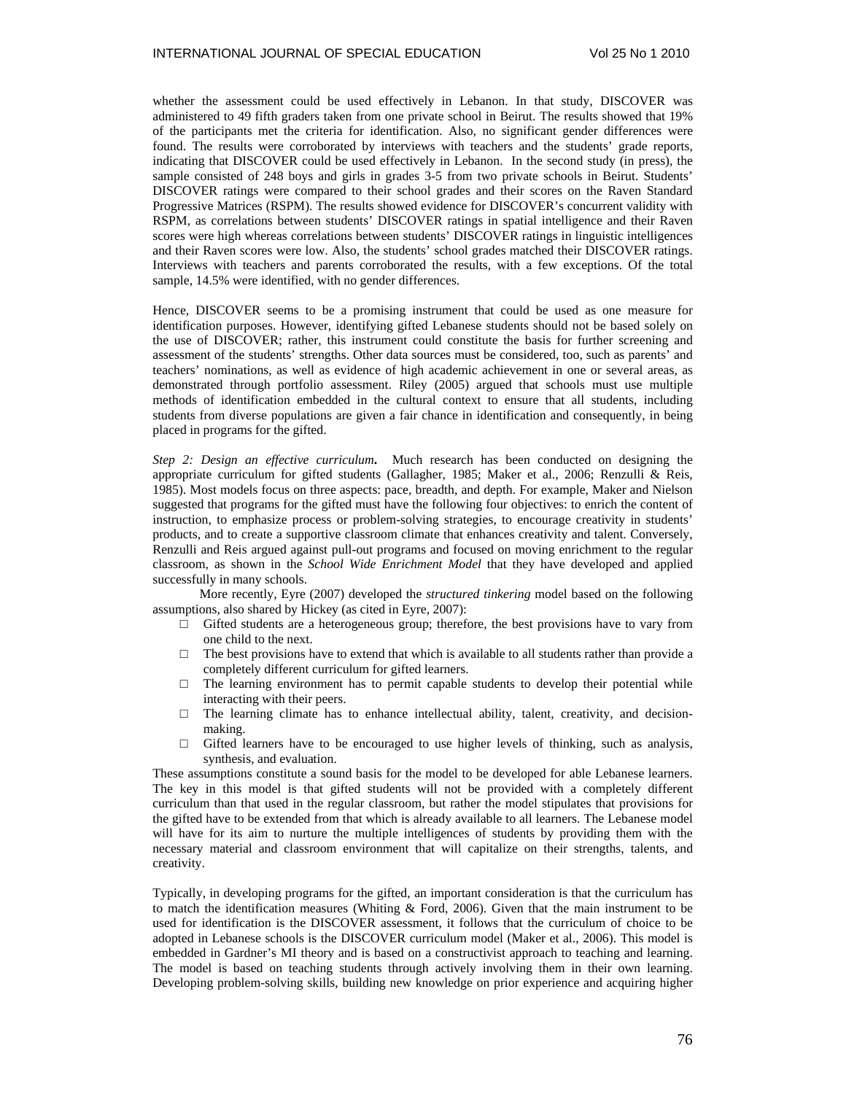whether the assessment could be used effectively in Lebanon. In that study, DISCOVER was administered to 49 fifth graders taken from one private school in Beirut. The results showed that 19% of the participants met the criteria for identification. Also, no significant gender differences were found. The results were corroborated by interviews with teachers and the students' grade reports, indicating that DISCOVER could be used effectively in Lebanon. In the second study (in press), the sample consisted of 248 boys and girls in grades 3-5 from two private schools in Beirut. Students' DISCOVER ratings were compared to their school grades and their scores on the Raven Standard Progressive Matrices (RSPM). The results showed evidence for DISCOVER's concurrent validity with RSPM, as correlations between students' DISCOVER ratings in spatial intelligence and their Raven scores were high whereas correlations between students' DISCOVER ratings in linguistic intelligences and their Raven scores were low. Also, the students' school grades matched their DISCOVER ratings. Interviews with teachers and parents corroborated the results, with a few exceptions. Of the total sample, 14.5% were identified, with no gender differences.

Hence, DISCOVER seems to be a promising instrument that could be used as one measure for identification purposes. However, identifying gifted Lebanese students should not be based solely on the use of DISCOVER; rather, this instrument could constitute the basis for further screening and assessment of the students' strengths. Other data sources must be considered, too, such as parents' and teachers' nominations, as well as evidence of high academic achievement in one or several areas, as demonstrated through portfolio assessment. Riley (2005) argued that schools must use multiple methods of identification embedded in the cultural context to ensure that all students, including students from diverse populations are given a fair chance in identification and consequently, in being placed in programs for the gifted.

*Step 2: Design an effective curriculum***.** Much research has been conducted on designing the appropriate curriculum for gifted students (Gallagher, 1985; Maker et al., 2006; Renzulli & Reis, 1985). Most models focus on three aspects: pace, breadth, and depth. For example, Maker and Nielson suggested that programs for the gifted must have the following four objectives: to enrich the content of instruction, to emphasize process or problem-solving strategies, to encourage creativity in students' products, and to create a supportive classroom climate that enhances creativity and talent. Conversely, Renzulli and Reis argued against pull-out programs and focused on moving enrichment to the regular classroom, as shown in the *School Wide Enrichment Model* that they have developed and applied successfully in many schools.

 More recently, Eyre (2007) developed the *structured tinkering* model based on the following assumptions, also shared by Hickey (as cited in Eyre, 2007):

- $\Box$  Gifted students are a heterogeneous group; therefore, the best provisions have to vary from one child to the next.
- $\Box$  The best provisions have to extend that which is available to all students rather than provide a completely different curriculum for gifted learners.
- $\Box$  The learning environment has to permit capable students to develop their potential while interacting with their peers.
- $\Box$  The learning climate has to enhance intellectual ability, talent, creativity, and decisionmaking.
- $\Box$  Gifted learners have to be encouraged to use higher levels of thinking, such as analysis, synthesis, and evaluation.

These assumptions constitute a sound basis for the model to be developed for able Lebanese learners. The key in this model is that gifted students will not be provided with a completely different curriculum than that used in the regular classroom, but rather the model stipulates that provisions for the gifted have to be extended from that which is already available to all learners. The Lebanese model will have for its aim to nurture the multiple intelligences of students by providing them with the necessary material and classroom environment that will capitalize on their strengths, talents, and creativity.

Typically, in developing programs for the gifted, an important consideration is that the curriculum has to match the identification measures (Whiting & Ford, 2006). Given that the main instrument to be used for identification is the DISCOVER assessment, it follows that the curriculum of choice to be adopted in Lebanese schools is the DISCOVER curriculum model (Maker et al., 2006). This model is embedded in Gardner's MI theory and is based on a constructivist approach to teaching and learning. The model is based on teaching students through actively involving them in their own learning. Developing problem-solving skills, building new knowledge on prior experience and acquiring higher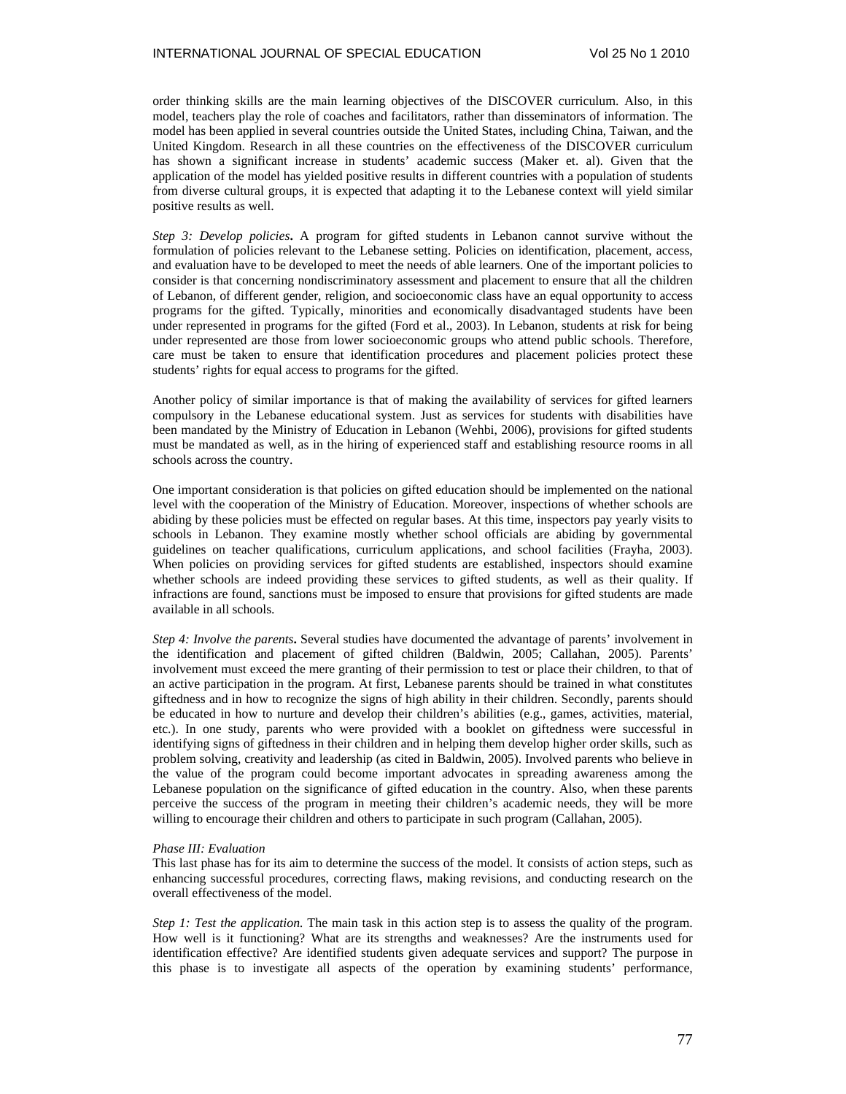order thinking skills are the main learning objectives of the DISCOVER curriculum. Also, in this model, teachers play the role of coaches and facilitators, rather than disseminators of information. The model has been applied in several countries outside the United States, including China, Taiwan, and the United Kingdom. Research in all these countries on the effectiveness of the DISCOVER curriculum has shown a significant increase in students' academic success (Maker et. al). Given that the application of the model has yielded positive results in different countries with a population of students from diverse cultural groups, it is expected that adapting it to the Lebanese context will yield similar positive results as well.

*Step 3: Develop policies***.** A program for gifted students in Lebanon cannot survive without the formulation of policies relevant to the Lebanese setting. Policies on identification, placement, access, and evaluation have to be developed to meet the needs of able learners. One of the important policies to consider is that concerning nondiscriminatory assessment and placement to ensure that all the children of Lebanon, of different gender, religion, and socioeconomic class have an equal opportunity to access programs for the gifted. Typically, minorities and economically disadvantaged students have been under represented in programs for the gifted (Ford et al., 2003). In Lebanon, students at risk for being under represented are those from lower socioeconomic groups who attend public schools. Therefore, care must be taken to ensure that identification procedures and placement policies protect these students' rights for equal access to programs for the gifted.

Another policy of similar importance is that of making the availability of services for gifted learners compulsory in the Lebanese educational system. Just as services for students with disabilities have been mandated by the Ministry of Education in Lebanon (Wehbi, 2006), provisions for gifted students must be mandated as well, as in the hiring of experienced staff and establishing resource rooms in all schools across the country.

One important consideration is that policies on gifted education should be implemented on the national level with the cooperation of the Ministry of Education. Moreover, inspections of whether schools are abiding by these policies must be effected on regular bases. At this time, inspectors pay yearly visits to schools in Lebanon. They examine mostly whether school officials are abiding by governmental guidelines on teacher qualifications, curriculum applications, and school facilities (Frayha, 2003). When policies on providing services for gifted students are established, inspectors should examine whether schools are indeed providing these services to gifted students, as well as their quality. If infractions are found, sanctions must be imposed to ensure that provisions for gifted students are made available in all schools.

*Step 4: Involve the parents***.** Several studies have documented the advantage of parents' involvement in the identification and placement of gifted children (Baldwin, 2005; Callahan, 2005). Parents' involvement must exceed the mere granting of their permission to test or place their children, to that of an active participation in the program. At first, Lebanese parents should be trained in what constitutes giftedness and in how to recognize the signs of high ability in their children. Secondly, parents should be educated in how to nurture and develop their children's abilities (e.g., games, activities, material, etc.). In one study, parents who were provided with a booklet on giftedness were successful in identifying signs of giftedness in their children and in helping them develop higher order skills, such as problem solving, creativity and leadership (as cited in Baldwin, 2005). Involved parents who believe in the value of the program could become important advocates in spreading awareness among the Lebanese population on the significance of gifted education in the country. Also, when these parents perceive the success of the program in meeting their children's academic needs, they will be more willing to encourage their children and others to participate in such program (Callahan, 2005).

### *Phase III: Evaluation*

This last phase has for its aim to determine the success of the model. It consists of action steps, such as enhancing successful procedures, correcting flaws, making revisions, and conducting research on the overall effectiveness of the model.

*Step 1: Test the application.* The main task in this action step is to assess the quality of the program. How well is it functioning? What are its strengths and weaknesses? Are the instruments used for identification effective? Are identified students given adequate services and support? The purpose in this phase is to investigate all aspects of the operation by examining students' performance,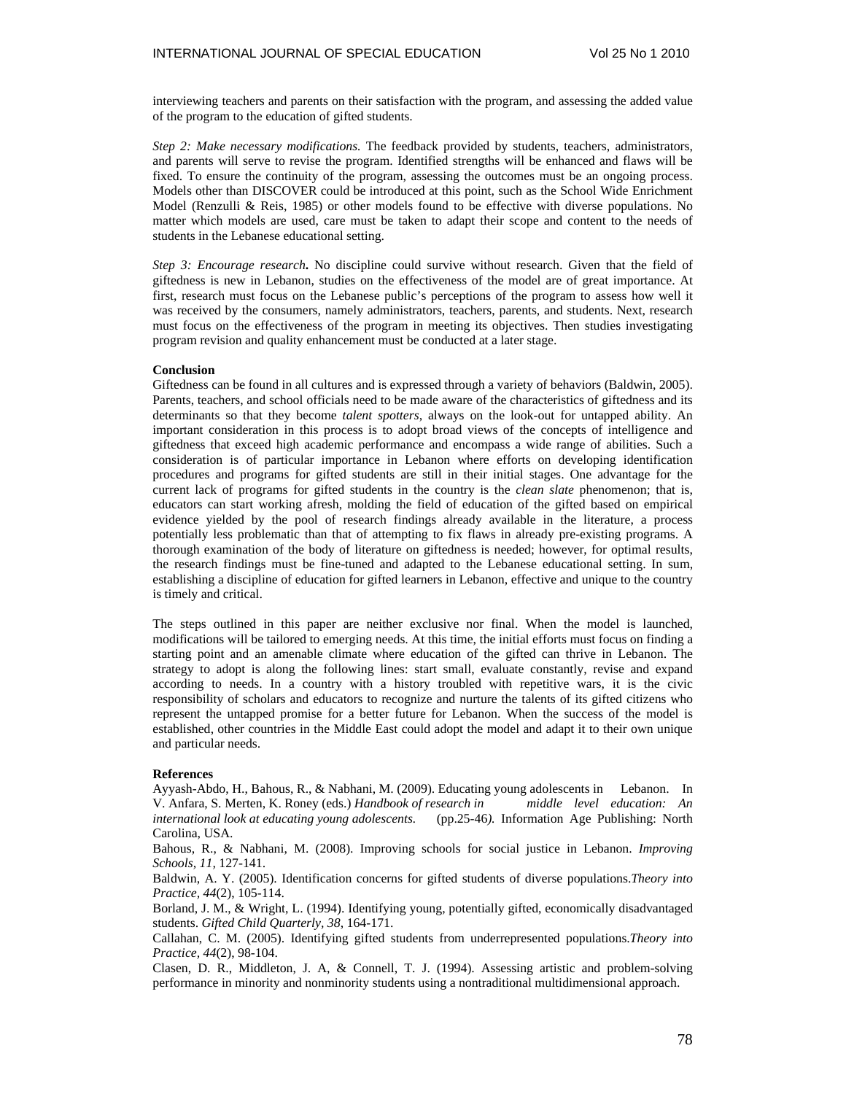interviewing teachers and parents on their satisfaction with the program, and assessing the added value of the program to the education of gifted students.

*Step 2: Make necessary modifications.* The feedback provided by students, teachers, administrators, and parents will serve to revise the program. Identified strengths will be enhanced and flaws will be fixed. To ensure the continuity of the program, assessing the outcomes must be an ongoing process. Models other than DISCOVER could be introduced at this point, such as the School Wide Enrichment Model (Renzulli & Reis, 1985) or other models found to be effective with diverse populations. No matter which models are used, care must be taken to adapt their scope and content to the needs of students in the Lebanese educational setting.

*Step 3: Encourage research***.** No discipline could survive without research. Given that the field of giftedness is new in Lebanon, studies on the effectiveness of the model are of great importance. At first, research must focus on the Lebanese public's perceptions of the program to assess how well it was received by the consumers, namely administrators, teachers, parents, and students. Next, research must focus on the effectiveness of the program in meeting its objectives. Then studies investigating program revision and quality enhancement must be conducted at a later stage.

### **Conclusion**

Giftedness can be found in all cultures and is expressed through a variety of behaviors (Baldwin, 2005). Parents, teachers, and school officials need to be made aware of the characteristics of giftedness and its determinants so that they become *talent spotters*, always on the look-out for untapped ability. An important consideration in this process is to adopt broad views of the concepts of intelligence and giftedness that exceed high academic performance and encompass a wide range of abilities. Such a consideration is of particular importance in Lebanon where efforts on developing identification procedures and programs for gifted students are still in their initial stages. One advantage for the current lack of programs for gifted students in the country is the *clean slate* phenomenon; that is, educators can start working afresh, molding the field of education of the gifted based on empirical evidence yielded by the pool of research findings already available in the literature, a process potentially less problematic than that of attempting to fix flaws in already pre-existing programs. A thorough examination of the body of literature on giftedness is needed; however, for optimal results, the research findings must be fine-tuned and adapted to the Lebanese educational setting. In sum, establishing a discipline of education for gifted learners in Lebanon, effective and unique to the country is timely and critical.

The steps outlined in this paper are neither exclusive nor final. When the model is launched, modifications will be tailored to emerging needs. At this time, the initial efforts must focus on finding a starting point and an amenable climate where education of the gifted can thrive in Lebanon. The strategy to adopt is along the following lines: start small, evaluate constantly, revise and expand according to needs. In a country with a history troubled with repetitive wars, it is the civic responsibility of scholars and educators to recognize and nurture the talents of its gifted citizens who represent the untapped promise for a better future for Lebanon. When the success of the model is established, other countries in the Middle East could adopt the model and adapt it to their own unique and particular needs.

### **References**

Ayyash-Abdo, H., Bahous, R., & Nabhani, M. (2009). Educating young adolescents in Lebanon. In V. Anfara, S. Merten, K. Roney (eds.) *Handbook of research in middle level education: An international look at educating young adolescents.* (pp.25-46*).* Information Age Publishing: North Carolina, USA.

Bahous, R., & Nabhani, M. (2008). Improving schools for social justice in Lebanon. *Improving Schools, 11,* 127-141.

Baldwin, A. Y. (2005). Identification concerns for gifted students of diverse populations.*Theory into Practice, 44*(2), 105-114.

Borland, J. M., & Wright, L. (1994). Identifying young, potentially gifted, economically disadvantaged students. *Gifted Child Quarterly, 38*, 164-171.

Callahan, C. M. (2005). Identifying gifted students from underrepresented populations.*Theory into Practice, 44*(2), 98-104.

Clasen, D. R., Middleton, J. A, & Connell, T. J. (1994). Assessing artistic and problem-solving performance in minority and nonminority students using a nontraditional multidimensional approach.